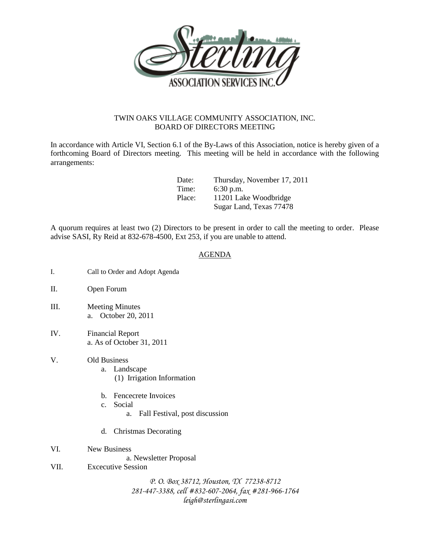

## TWIN OAKS VILLAGE COMMUNITY ASSOCIATION, INC. BOARD OF DIRECTORS MEETING

In accordance with Article VI, Section 6.1 of the By-Laws of this Association, notice is hereby given of a forthcoming Board of Directors meeting. This meeting will be held in accordance with the following arrangements:

| Date:  | Thursday, November 17, 2011 |
|--------|-----------------------------|
| Time:  | $6:30$ p.m.                 |
| Place: | 11201 Lake Woodbridge       |
|        | Sugar Land, Texas 77478     |

A quorum requires at least two (2) Directors to be present in order to call the meeting to order. Please advise SASI, Ry Reid at 832-678-4500, Ext 253, if you are unable to attend.

## AGENDA

- I. Call to Order and Adopt Agenda
- II. Open Forum
- III. Meeting Minutes a. October 20, 2011
- IV. Financial Report a. As of October 31, 2011
- V. Old Business
	- a. Landscape (1) Irrigation Information
	- b. Fencecrete Invoices
	- c. Social
		- a. Fall Festival, post discussion
	- d. Christmas Decorating
- VI. New Business
	- a. Newsletter Proposal
- VII. Excecutive Session

*P. O. Box 38712, Houston, TX 77238-8712 281-447-3388, cell #832-607-2064, fax #281-966-1764 leigh@sterlingasi.com*